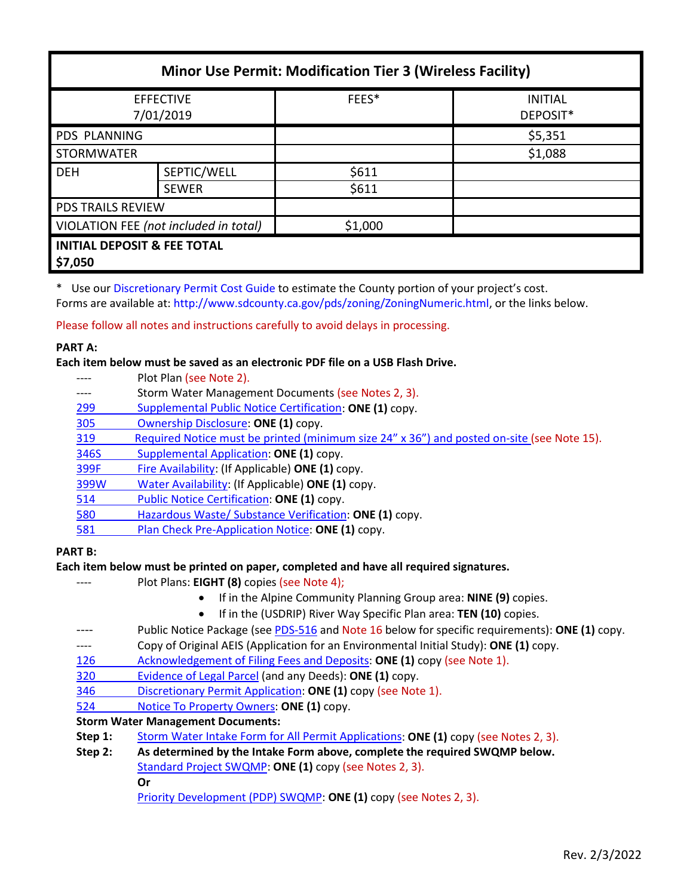| <b>Minor Use Permit: Modification Tier 3 (Wireless Facility)</b> |              |         |                            |  |
|------------------------------------------------------------------|--------------|---------|----------------------------|--|
| <b>EFFECTIVE</b><br>7/01/2019                                    |              | FEES*   | <b>INITIAL</b><br>DEPOSIT* |  |
| PDS PLANNING                                                     |              |         | \$5,351                    |  |
| <b>STORMWATER</b>                                                |              |         | \$1,088                    |  |
| <b>DEH</b>                                                       | SEPTIC/WELL  | \$611   |                            |  |
|                                                                  | <b>SEWER</b> | \$611   |                            |  |
| <b>PDS TRAILS REVIEW</b>                                         |              |         |                            |  |
| VIOLATION FEE (not included in total)                            |              | \$1,000 |                            |  |
| <b>INITIAL DEPOSIT &amp; FEE TOTAL</b><br>\$7,050                |              |         |                            |  |

\* Use our [Discretionary Permit Cost Guide](http://www.sandiegocounty.gov/content/dam/sdc/pds/docs/Discretionary_Permit_Cost_Guide.xlsx) to estimate the County portion of your project's cost.

Forms are available at: [http://www.sdcounty.ca.gov/pds/zoning/ZoningNumeric.html,](http://www.sdcounty.ca.gov/pds/zoning/ZoningNumeric.html) or the links below.

Please follow all notes and instructions carefully to avoid delays in processing.

## **PART A:**

## **Each item below must be saved as an electronic PDF file on a USB Flash Drive.**

---- Plot Plan (see Note 2). ---- Storm Water Management Documents (see Notes 2, 3). 299 [Supplemental Public Notice Certification:](http://www.sdcounty.ca.gov/pds/zoning/formfields/PDS-PLN-299.pdf) **ONE (1)** copy. [305 Ownership Disclosure:](http://www.sdcounty.ca.gov/pds/zoning/formfields/PDS-PLN-305.pdf) **ONE (1)** copy. [319 Required Notice must be printed \(minimum size 24" x 36"\) and posted on-site](https://www.sandiegocounty.gov/content/dam/sdc/pds/zoning/formfields/PDS-PLN-319.pdf) (see Note 15). [346S Supplemental Application:](http://www.sdcounty.ca.gov/pds/zoning/formfields/PDS-PLN-346S.pdf) **ONE (1)** copy. [399F Fire Availability:](http://www.sdcounty.ca.gov/pds/zoning/formfields/PDS-PLN-399F.pdf) (If Applicable) **ONE (1)** copy. [399W Water Availability:](http://www.sdcounty.ca.gov/pds/zoning/formfields/PDS-PLN-399W.pdf) (If Applicable) **ONE (1)** copy. [514 Public Notice Certification:](http://www.sdcounty.ca.gov/pds/zoning/formfields/PDS-PLN-514.pdf) **ONE (1)** copy. [580 Hazardous Waste/ Substance Verification:](http://www.sdcounty.ca.gov/pds/zoning/formfields/PDS-PLN-580.pdf) **ONE (1)** copy. 581 [Plan Check Pre-Application Notice:](http://www.sdcounty.ca.gov/pds/zoning/formfields/PDS-PLN-581.pdf) **ONE (1)** copy.

# **PART B:**

# **Each item below must be printed on paper, completed and have all required signatures.**

- Plot Plans: **EIGHT (8)** copies (see Note 4);
	- If in the Alpine Community Planning Group area: **NINE (9)** copies.
	- If in the (USDRIP) River Way Specific Plan area: **TEN (10)** copies.
- ---- Public Notice Package (se[e PDS-516](https://www.sandiegocounty.gov/pds/zoning/formfields/PDS-PLN-516.pdf) and Note 16 below for specific requirements): **ONE (1)** copy.
- ---- Copy of Original AEIS (Application for an Environmental Initial Study): **ONE (1)** copy.
- [126 Acknowledgement of Filing Fees and Deposits:](http://www.sdcounty.ca.gov/pds/zoning/formfields/PDS-PLN-126.pdf) **ONE (1)** copy (see Note 1).
- [320 Evidence of Legal Parcel](http://www.sdcounty.ca.gov/pds/zoning/formfields/PDS-PLN-320.pdf) (and any Deeds): **ONE (1)** copy.
- 346 [Discretionary Permit Application:](http://www.sdcounty.ca.gov/pds/zoning/formfields/PDS-PLN-346.pdf) **ONE (1)** copy (see Note 1).
- 524 [Notice To Property Owners:](http://www.sdcounty.ca.gov/pds/zoning/formfields/PDS-PLN-524.pdf) **ONE (1)** copy.

# **Storm Water Management Documents:**

- **Step 1:** [Storm Water Intake Form for All Permit](http://www.sandiegocounty.gov/content/dam/sdc/pds/zoning/formfields/SWQMP-Intake-Form.pdf) Applications: **ONE (1)** copy (see Notes 2, 3).
- **Step 2: As determined by the Intake Form above, complete the required SWQMP below.** [Standard Project SWQMP:](http://www.sandiegocounty.gov/content/dam/sdc/pds/zoning/formfields/SWQMP-Standard.pdf) **ONE (1)** copy (see Notes 2, 3). **Or**
	- [Priority Development \(PDP\) SWQMP:](https://www.sandiegocounty.gov/content/sdc/dpw/watersheds/DevelopmentandConstruction/BMP_Design_Manual.html) **ONE (1)** copy (see Notes 2, 3).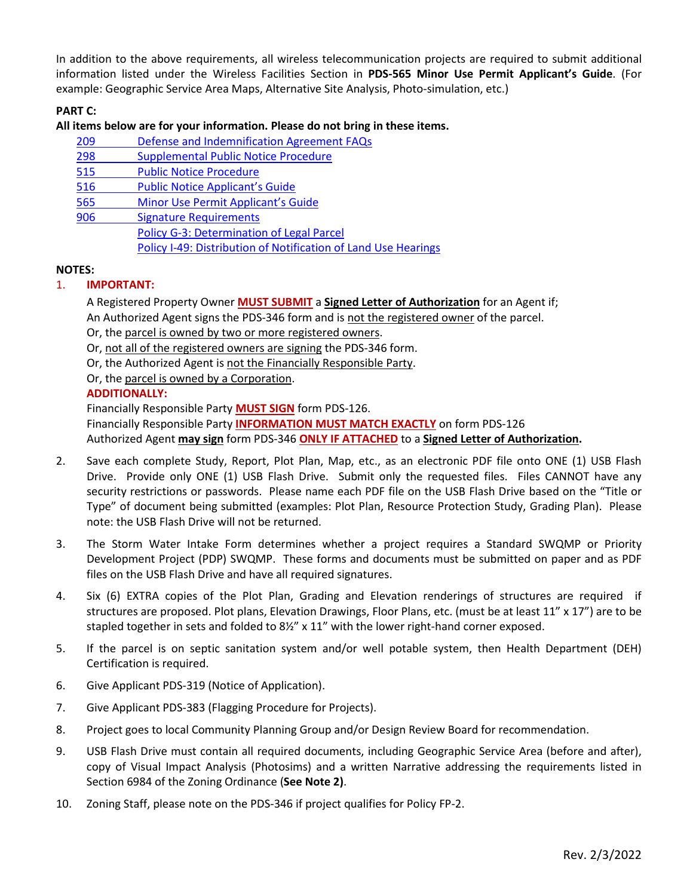In addition to the above requirements, all wireless telecommunication projects are required to submit additional information listed under the Wireless Facilities Section in **PDS-565 Minor Use Permit Applicant's Guide**. (For example: Geographic Service Area Maps, Alternative Site Analysis, Photo-simulation, etc.)

# **PART C:**

## **All items below are for your information. Please do not bring in these items.**

- 209 [Defense and Indemnification Agreement FAQs](http://www.sdcounty.ca.gov/pds/zoning/formfields/PDS-PLN-209.pdf)
- 298 [Supplemental Public Notice Procedure](http://www.sdcounty.ca.gov/pds/zoning/formfields/PDS-PLN-298.pdf)
- [515 Public Notice Procedure](http://www.sdcounty.ca.gov/pds/zoning/formfields/PDS-PLN-515.pdf)
- [516 Public Notice Applicant's Guide](http://www.sdcounty.ca.gov/pds/zoning/formfields/PDS-PLN-516.pdf)
- 565 [Minor Use Permit Applicant's Guide](http://www.sdcounty.ca.gov/pds/zoning/formfields/PDS-PLN-565.pdf)
- [906 Signature Requirements](http://www.sdcounty.ca.gov/pds/zoning/formfields/PDS-PLN-906.pdf)
	- [Policy G-3: Determination of Legal Parcel](http://www.sdcounty.ca.gov/pds/zoning/formfields/POLICY-G-3.pdf) Policy I-49: Distribution [of Notification of Land Use Hearings](http://www.sdcounty.ca.gov/cob/docs/policy/I-49.pdf)

#### **NOTES:**

# 1. **IMPORTANT:**

A Registered Property Owner **MUST SUBMIT** a **Signed Letter of Authorization** for an Agent if; An Authorized Agent signs the PDS-346 form and is not the registered owner of the parcel.

Or, the parcel is owned by two or more registered owners.

Or, not all of the registered owners are signing the PDS-346 form.

Or, the Authorized Agent is not the Financially Responsible Party.

Or, the parcel is owned by a Corporation.

#### **ADDITIONALLY:**

Financially Responsible Party **MUST SIGN** form PDS-126. Financially Responsible Party **INFORMATION MUST MATCH EXACTLY** on form PDS-126 Authorized Agent **may sign** form PDS-346 **ONLY IF ATTACHED** to a **Signed Letter of Authorization.**

- 2. Save each complete Study, Report, Plot Plan, Map, etc., as an electronic PDF file onto ONE (1) USB Flash Drive. Provide only ONE (1) USB Flash Drive. Submit only the requested files. Files CANNOT have any security restrictions or passwords. Please name each PDF file on the USB Flash Drive based on the "Title or Type" of document being submitted (examples: Plot Plan, Resource Protection Study, Grading Plan). Please note: the USB Flash Drive will not be returned.
- 3. The Storm Water Intake Form determines whether a project requires a Standard SWQMP or Priority Development Project (PDP) SWQMP. These forms and documents must be submitted on paper and as PDF files on the USB Flash Drive and have all required signatures.
- 4. Six (6) EXTRA copies of the Plot Plan, Grading and Elevation renderings of structures are required if structures are proposed. Plot plans, Elevation Drawings, Floor Plans, etc. (must be at least 11" x 17") are to be stapled together in sets and folded to 8½" x 11" with the lower right-hand corner exposed.
- 5. If the parcel is on septic sanitation system and/or well potable system, then Health Department (DEH) Certification is required.
- 6. Give Applicant PDS-319 (Notice of Application).
- 7. Give Applicant PDS-383 (Flagging Procedure for Projects).
- 8. Project goes to local Community Planning Group and/or Design Review Board for recommendation.
- 9. USB Flash Drive must contain all required documents, including Geographic Service Area (before and after), copy of Visual Impact Analysis (Photosims) and a written Narrative addressing the requirements listed in Section 6984 of the Zoning Ordinance (**See Note 2)**.
- 10. Zoning Staff, please note on the PDS-346 if project qualifies for Policy FP-2.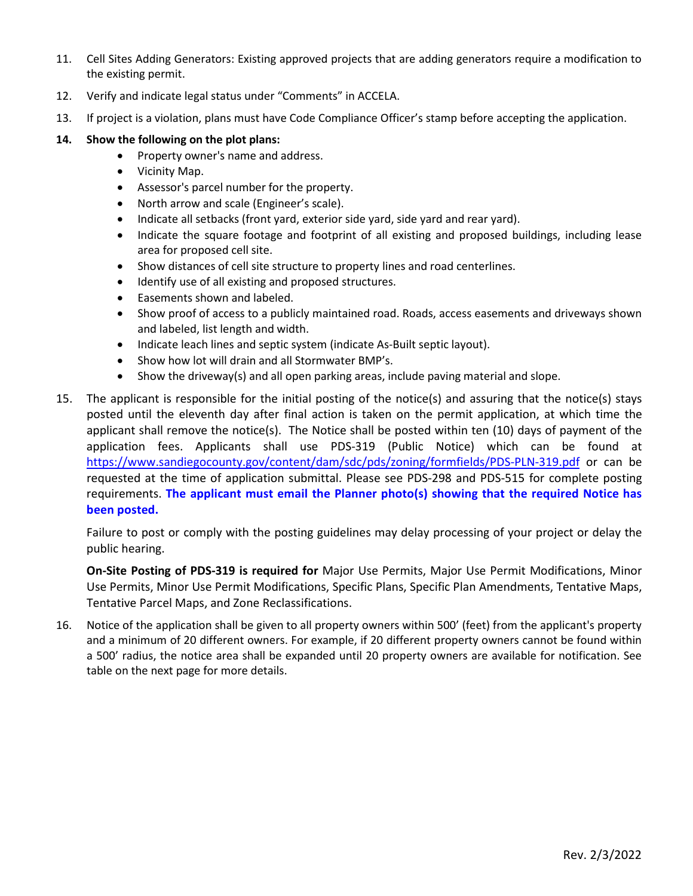- 11. Cell Sites Adding Generators: Existing approved projects that are adding generators require a modification to the existing permit.
- 12. Verify and indicate legal status under "Comments" in ACCELA.
- 13. If project is a violation, plans must have Code Compliance Officer's stamp before accepting the application.

## **14. Show the following on the plot plans:**

- Property owner's name and address.
- Vicinity Map.
- Assessor's parcel number for the property.
- North arrow and scale (Engineer's scale).
- Indicate all setbacks (front yard, exterior side yard, side yard and rear yard).
- Indicate the square footage and footprint of all existing and proposed buildings, including lease area for proposed cell site.
- Show distances of cell site structure to property lines and road centerlines.
- Identify use of all existing and proposed structures.
- Easements shown and labeled.
- Show proof of access to a publicly maintained road. Roads, access easements and driveways shown and labeled, list length and width.
- Indicate leach lines and septic system (indicate As-Built septic layout).
- Show how lot will drain and all Stormwater BMP's.
- Show the driveway(s) and all open parking areas, include paving material and slope.
- 15. The applicant is responsible for the initial posting of the notice(s) and assuring that the notice(s) stays posted until the eleventh day after final action is taken on the permit application, at which time the applicant shall remove the notice(s). The Notice shall be posted within ten (10) days of payment of the application fees. Applicants shall use PDS-319 (Public Notice) which can be found at <https://www.sandiegocounty.gov/content/dam/sdc/pds/zoning/formfields/PDS-PLN-319.pdf> or can be requested at the time of application submittal. Please see PDS-298 and PDS-515 for complete posting requirements. **The applicant must email the Planner photo(s) showing that the required Notice has been posted.**

Failure to post or comply with the posting guidelines may delay processing of your project or delay the public hearing.

**On-Site Posting of PDS-319 is required for** Major Use Permits, Major Use Permit Modifications, Minor Use Permits, Minor Use Permit Modifications, Specific Plans, Specific Plan Amendments, Tentative Maps, Tentative Parcel Maps, and Zone Reclassifications.

16. Notice of the application shall be given to all property owners within 500' (feet) from the applicant's property and a minimum of 20 different owners. For example, if 20 different property owners cannot be found within a 500' radius, the notice area shall be expanded until 20 property owners are available for notification. See table on the next page for more details.